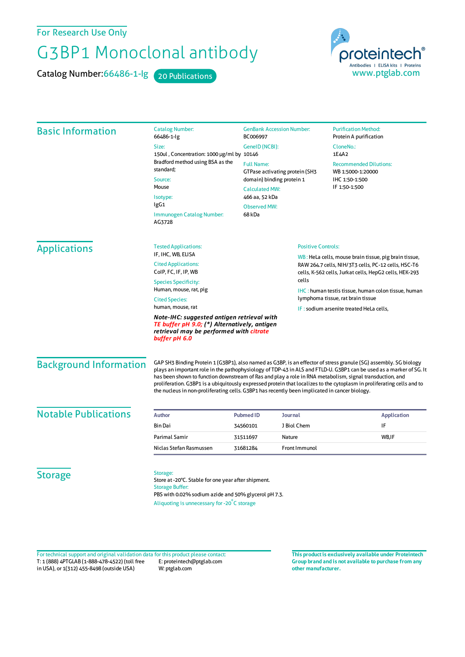## For Research Use Only

## G3BP1 Monoclonal antibody

Catalog Number: 66486-1-lg 20 Publications



| <b>Basic Information</b>      | <b>Catalog Number:</b><br>66486-1-lg                                                                                                                                                                                                                                                                                                                                                                                                                                                                                                                                            | <b>GenBank Accession Number:</b><br>BC006997    |                                                                              | <b>Purification Method:</b><br>Protein A purification                                                        |  |  |
|-------------------------------|---------------------------------------------------------------------------------------------------------------------------------------------------------------------------------------------------------------------------------------------------------------------------------------------------------------------------------------------------------------------------------------------------------------------------------------------------------------------------------------------------------------------------------------------------------------------------------|-------------------------------------------------|------------------------------------------------------------------------------|--------------------------------------------------------------------------------------------------------------|--|--|
|                               | Size:                                                                                                                                                                                                                                                                                                                                                                                                                                                                                                                                                                           | GenelD (NCBI):                                  |                                                                              | CloneNo.:<br>1E4A2                                                                                           |  |  |
|                               | 150ul, Concentration: 1000 µg/ml by 10146<br>Bradford method using BSA as the<br>standard;<br>Source:                                                                                                                                                                                                                                                                                                                                                                                                                                                                           |                                                 |                                                                              |                                                                                                              |  |  |
|                               |                                                                                                                                                                                                                                                                                                                                                                                                                                                                                                                                                                                 | <b>Full Name:</b>                               | GTPase activating protein (SH3                                               | <b>Recommended Dilutions:</b><br>WB 1:5000-1:20000<br>IHC 1:50-1:500<br>IF 1:50-1:500                        |  |  |
|                               |                                                                                                                                                                                                                                                                                                                                                                                                                                                                                                                                                                                 | domain) binding protein 1                       |                                                                              |                                                                                                              |  |  |
|                               | Mouse                                                                                                                                                                                                                                                                                                                                                                                                                                                                                                                                                                           | <b>Calculated MW:</b>                           |                                                                              |                                                                                                              |  |  |
|                               | Isotype:<br>lgG1                                                                                                                                                                                                                                                                                                                                                                                                                                                                                                                                                                | 466 aa, 52 kDa<br><b>Observed MW:</b><br>68 kDa |                                                                              |                                                                                                              |  |  |
|                               | <b>Immunogen Catalog Number:</b><br>AG3728                                                                                                                                                                                                                                                                                                                                                                                                                                                                                                                                      |                                                 |                                                                              |                                                                                                              |  |  |
| <b>Applications</b>           | <b>Tested Applications:</b>                                                                                                                                                                                                                                                                                                                                                                                                                                                                                                                                                     | <b>Positive Controls:</b>                       |                                                                              |                                                                                                              |  |  |
|                               | IF, IHC, WB, ELISA<br><b>Cited Applications:</b>                                                                                                                                                                                                                                                                                                                                                                                                                                                                                                                                |                                                 |                                                                              | WB: HeLa cells, mouse brain tissue, pig brain tissue,<br>RAW 264.7 cells, NIH/3T3 cells, PC-12 cells, HSC-T6 |  |  |
|                               | CoIP, FC, IF, IP, WB                                                                                                                                                                                                                                                                                                                                                                                                                                                                                                                                                            |                                                 |                                                                              | cells, K-562 cells, Jurkat cells, HepG2 cells, HEK-293                                                       |  |  |
|                               | cells<br><b>Species Specificity:</b>                                                                                                                                                                                                                                                                                                                                                                                                                                                                                                                                            |                                                 |                                                                              |                                                                                                              |  |  |
|                               | Human, mouse, rat, pig<br><b>Cited Species:</b><br>human, mouse, rat                                                                                                                                                                                                                                                                                                                                                                                                                                                                                                            |                                                 | IHC: human testis tissue, human colon tissue, human                          |                                                                                                              |  |  |
|                               |                                                                                                                                                                                                                                                                                                                                                                                                                                                                                                                                                                                 |                                                 | lymphoma tissue, rat brain tissue<br>IF: sodium arsenite treated HeLa cells, |                                                                                                              |  |  |
|                               | Note-IHC: suggested antigen retrieval with<br>TE buffer pH 9.0; (*) Alternatively, antigen<br>retrieval may be performed with <mark>citrate</mark><br>buffer pH 6.0                                                                                                                                                                                                                                                                                                                                                                                                             |                                                 |                                                                              |                                                                                                              |  |  |
| <b>Background Information</b> | GAP SH3 Binding Protein 1 (G3BP1), also named as G3BP, is an effector of stress granule (SG) assembly. SG biology<br>plays an important role in the pathophysiology of TDP-43 in ALS and FTLD-U. G3BP1 can be used as a marker of SG. It<br>has been shown to function downstream of Ras and play a role in RNA metabolism, signal transduction, and<br>proliferation. G3BP1 is a ubiquitously expressed protein that localizes to the cytoplasm in proliferating cells and to<br>the nucleus in non-proliferating cells. G3BP1 has recently been implicated in cancer biology. |                                                 |                                                                              |                                                                                                              |  |  |
| <b>Notable Publications</b>   | <b>Author</b>                                                                                                                                                                                                                                                                                                                                                                                                                                                                                                                                                                   | <b>Pubmed ID</b>                                | <b>Journal</b>                                                               | <b>Application</b>                                                                                           |  |  |
|                               | <b>Bin Dai</b>                                                                                                                                                                                                                                                                                                                                                                                                                                                                                                                                                                  | 34560101                                        | J Biol Chem                                                                  | IF                                                                                                           |  |  |
|                               | Parimal Samir                                                                                                                                                                                                                                                                                                                                                                                                                                                                                                                                                                   | 31511697                                        | Nature                                                                       | WB, IF                                                                                                       |  |  |
|                               | Niclas Stefan Rasmussen                                                                                                                                                                                                                                                                                                                                                                                                                                                                                                                                                         | 31681284                                        | Front Immunol                                                                |                                                                                                              |  |  |
| <b>Storage</b>                | Storage:<br>Store at -20°C. Stable for one year after shipment.<br><b>Storage Buffer:</b><br>PBS with 0.02% sodium azide and 50% glycerol pH 7.3.<br>Aliquoting is unnecessary for -20°C storage                                                                                                                                                                                                                                                                                                                                                                                |                                                 |                                                                              |                                                                                                              |  |  |

T: 1 (888) 4PTGLAB (1-888-478-4522) (toll free in USA), or 1(312) 455-8498 (outside USA) E: proteintech@ptglab.com W: ptglab.com Fortechnical support and original validation data forthis product please contact: **This productis exclusively available under Proteintech**

**Group brand and is not available to purchase from any other manufacturer.**